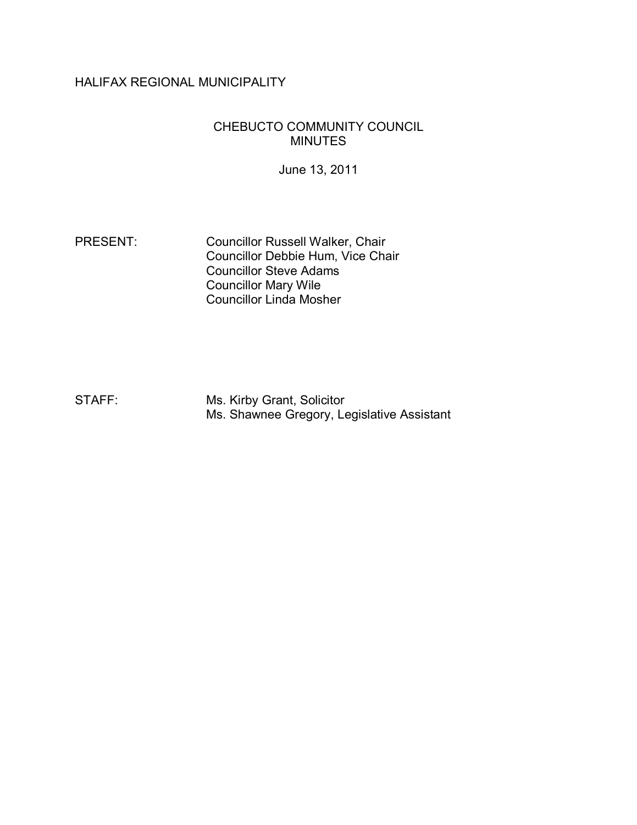# HALIFAX REGIONAL MUNICIPALITY

#### CHEBUCTO COMMUNITY COUNCIL MINUTES

June 13, 2011

PRESENT: Councillor Russell Walker, Chair Councillor Debbie Hum, Vice Chair Councillor Steve Adams Councillor Mary Wile Councillor Linda Mosher

STAFF: Ms. Kirby Grant, Solicitor Ms. Shawnee Gregory, Legislative Assistant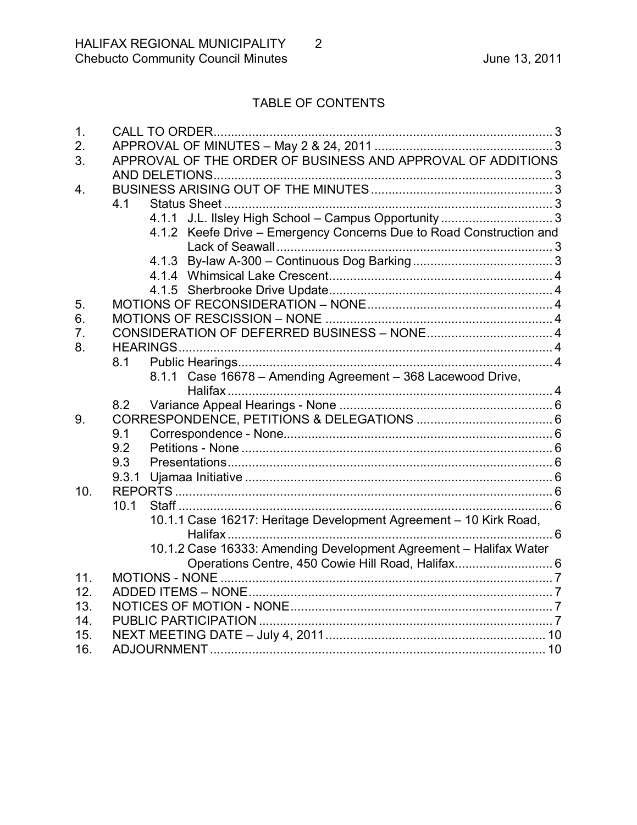# TABLE OF CONTENTS

 $\overline{2}$ 

| 1.  |                                                                     |  |
|-----|---------------------------------------------------------------------|--|
| 2.  |                                                                     |  |
| 3.  | APPROVAL OF THE ORDER OF BUSINESS AND APPROVAL OF ADDITIONS         |  |
|     |                                                                     |  |
| 4.  |                                                                     |  |
|     | 4.1                                                                 |  |
|     |                                                                     |  |
|     | 4.1.2 Keefe Drive - Emergency Concerns Due to Road Construction and |  |
|     |                                                                     |  |
|     | 4.1.3                                                               |  |
|     |                                                                     |  |
|     |                                                                     |  |
| 5.  |                                                                     |  |
| 6.  |                                                                     |  |
| 7.  |                                                                     |  |
| 8.  |                                                                     |  |
|     | 8.1                                                                 |  |
|     | Case 16678 - Amending Agreement - 368 Lacewood Drive,<br>8.1.1      |  |
|     |                                                                     |  |
|     | 8.2                                                                 |  |
| 9.  |                                                                     |  |
|     | 9.1                                                                 |  |
|     | 9.2                                                                 |  |
|     | 9.3                                                                 |  |
|     | 9.3.1                                                               |  |
| 10. |                                                                     |  |
|     | 10.1                                                                |  |
|     | 10.1.1 Case 16217: Heritage Development Agreement - 10 Kirk Road,   |  |
|     | 10.1.2 Case 16333: Amending Development Agreement - Halifax Water   |  |
|     | Operations Centre, 450 Cowie Hill Road, Halifax 6                   |  |
| 11. |                                                                     |  |
| 12. |                                                                     |  |
| 13. |                                                                     |  |
| 14. |                                                                     |  |
| 15. |                                                                     |  |
| 16. |                                                                     |  |
|     |                                                                     |  |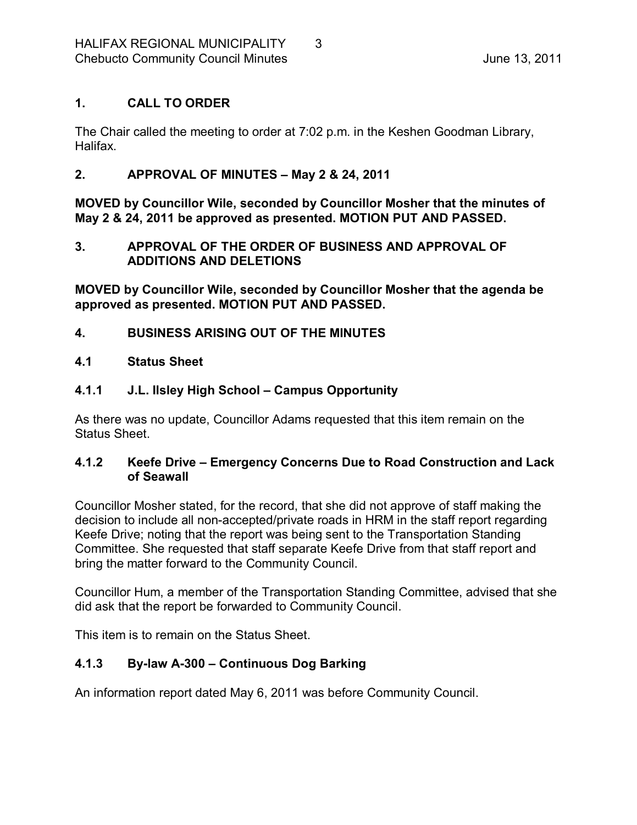## <span id="page-2-0"></span>**1. CALL TO ORDER**

The Chair called the meeting to order at 7:02 p.m. in the Keshen Goodman Library, Halifax.

## <span id="page-2-1"></span>**2. APPROVAL OF MINUTES – May 2 & 24, 2011**

**MOVED by Councillor Wile, seconded by Councillor Mosher that the minutes of May 2 & 24, 2011 be approved as presented. MOTION PUT AND PASSED.** 

## <span id="page-2-2"></span>**3. APPROVAL OF THE ORDER OF BUSINESS AND APPROVAL OF ADDITIONS AND DELETIONS**

**MOVED by Councillor Wile, seconded by Councillor Mosher that the agenda be approved as presented. MOTION PUT AND PASSED.** 

## <span id="page-2-3"></span>**4. BUSINESS ARISING OUT OF THE MINUTES**

#### <span id="page-2-4"></span>**4.1 Status Sheet**

## <span id="page-2-5"></span>**4.1.1 J.L. Ilsley High School – Campus Opportunity**

As there was no update, Councillor Adams requested that this item remain on the Status Sheet.

#### <span id="page-2-6"></span>**4.1.2 Keefe Drive – Emergency Concerns Due to Road Construction and Lack of Seawall**

Councillor Mosher stated, for the record, that she did not approve of staff making the decision to include all non-accepted/private roads in HRM in the staff report regarding Keefe Drive; noting that the report was being sent to the Transportation Standing Committee. She requested that staff separate Keefe Drive from that staff report and bring the matter forward to the Community Council.

Councillor Hum, a member of the Transportation Standing Committee, advised that she did ask that the report be forwarded to Community Council.

This item is to remain on the Status Sheet.

## <span id="page-2-7"></span>**4.1.3 Bylaw A300 – Continuous Dog Barking**

An information report dated May 6, 2011 was before Community Council.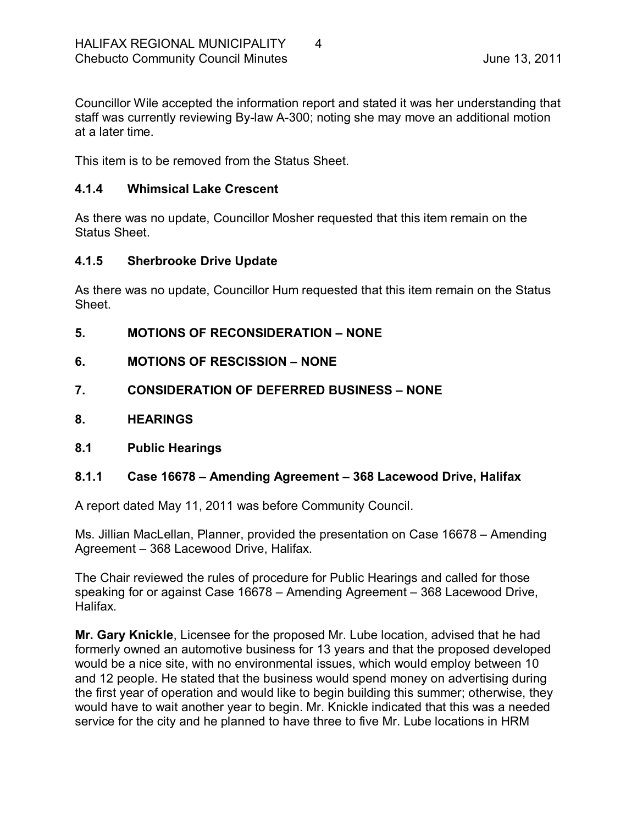Councillor Wile accepted the information report and stated it was her understanding that staff was currently reviewing By-law A-300; noting she may move an additional motion at a later time.

This item is to be removed from the Status Sheet.

#### <span id="page-3-0"></span>**4.1.4 Whimsical Lake Crescent**

As there was no update, Councillor Mosher requested that this item remain on the Status Sheet.

#### <span id="page-3-1"></span>**4.1.5 Sherbrooke Drive Update**

As there was no update, Councillor Hum requested that this item remain on the Status Sheet.

- <span id="page-3-2"></span>**5. MOTIONS OF RECONSIDERATION – NONE**
- <span id="page-3-3"></span>**6. MOTIONS OF RESCISSION – NONE**
- <span id="page-3-4"></span>**7. CONSIDERATION OF DEFERRED BUSINESS – NONE**
- <span id="page-3-5"></span>**8. HEARINGS**
- <span id="page-3-6"></span>**8.1 Public Hearings**

#### <span id="page-3-7"></span>**8.1.1 Case 16678 – Amending Agreement – 368 Lacewood Drive, Halifax**

A report dated May 11, 2011 was before Community Council.

Ms. Jillian MacLellan, Planner, provided the presentation on Case 16678 – Amending Agreement – 368 Lacewood Drive, Halifax.

The Chair reviewed the rules of procedure for Public Hearings and called for those speaking for or against Case 16678 – Amending Agreement – 368 Lacewood Drive, Halifax.

**Mr. Gary Knickle**, Licensee for the proposed Mr. Lube location, advised that he had formerly owned an automotive business for 13 years and that the proposed developed would be a nice site, with no environmental issues, which would employ between 10 and 12 people. He stated that the business would spend money on advertising during the first year of operation and would like to begin building this summer; otherwise, they would have to wait another year to begin. Mr. Knickle indicated that this was a needed service for the city and he planned to have three to five Mr. Lube locations in HRM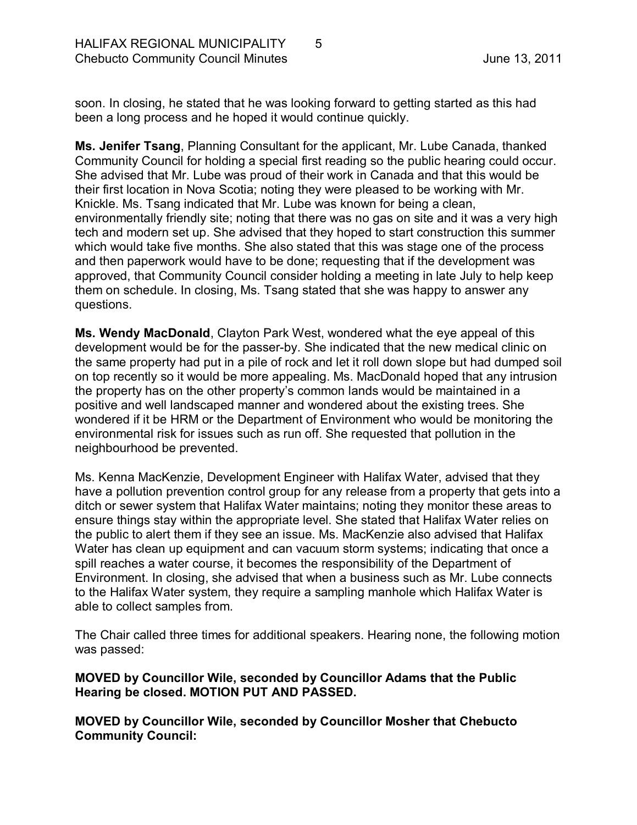soon. In closing, he stated that he was looking forward to getting started as this had been a long process and he hoped it would continue quickly.

**Ms. Jenifer Tsang**, Planning Consultant for the applicant, Mr. Lube Canada, thanked Community Council for holding a special first reading so the public hearing could occur. She advised that Mr. Lube was proud of their work in Canada and that this would be their first location in Nova Scotia; noting they were pleased to be working with Mr. Knickle. Ms. Tsang indicated that Mr. Lube was known for being a clean, environmentally friendly site; noting that there was no gas on site and it was a very high tech and modern set up. She advised that they hoped to start construction this summer which would take five months. She also stated that this was stage one of the process and then paperwork would have to be done; requesting that if the development was approved, that Community Council consider holding a meeting in late July to help keep them on schedule. In closing, Ms. Tsang stated that she was happy to answer any questions.

**Ms. Wendy MacDonald**, Clayton Park West, wondered what the eye appeal of this development would be for the passer-by. She indicated that the new medical clinic on the same property had put in a pile of rock and let it roll down slope but had dumped soil on top recently so it would be more appealing. Ms. MacDonald hoped that any intrusion the property has on the other property's common lands would be maintained in a positive and well landscaped manner and wondered about the existing trees. She wondered if it be HRM or the Department of Environment who would be monitoring the environmental risk for issues such as run off. She requested that pollution in the neighbourhood be prevented.

Ms. Kenna MacKenzie, Development Engineer with Halifax Water, advised that they have a pollution prevention control group for any release from a property that gets into a ditch or sewer system that Halifax Water maintains; noting they monitor these areas to ensure things stay within the appropriate level. She stated that Halifax Water relies on the public to alert them if they see an issue. Ms. MacKenzie also advised that Halifax Water has clean up equipment and can vacuum storm systems; indicating that once a spill reaches a water course, it becomes the responsibility of the Department of Environment. In closing, she advised that when a business such as Mr. Lube connects to the Halifax Water system, they require a sampling manhole which Halifax Water is able to collect samples from.

The Chair called three times for additional speakers. Hearing none, the following motion was passed:

#### **MOVED by Councillor Wile, seconded by Councillor Adams that the Public Hearing be closed. MOTION PUT AND PASSED.**

**MOVED by Councillor Wile, seconded by Councillor Mosher that Chebucto Community Council:**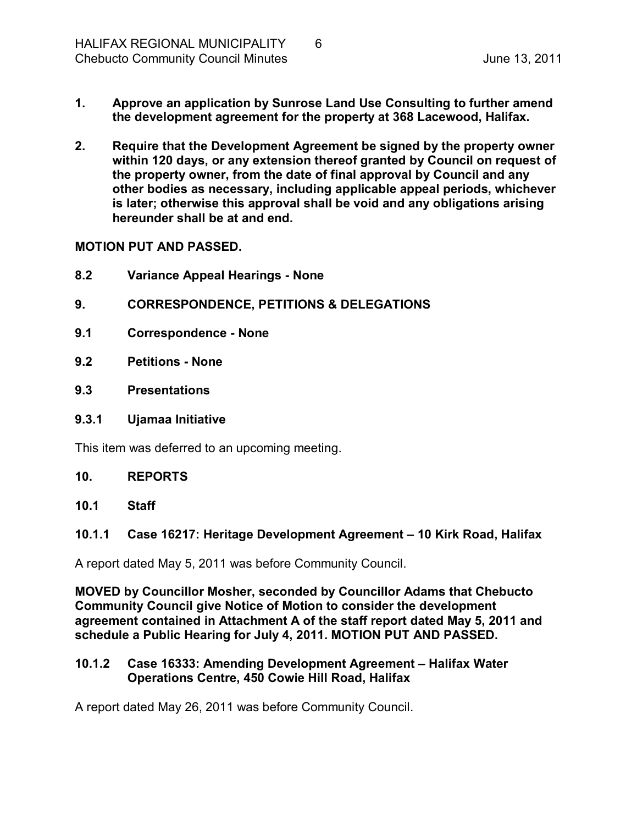- **1. Approve an application by Sunrose Land Use Consulting to further amend the development agreement for the property at 368 Lacewood, Halifax.**
- **2. Require that the Development Agreement be signed by the property owner within 120 days, or any extension thereof granted by Council on request of the property owner, from the date of final approval by Council and any other bodies as necessary, including applicable appeal periods, whichever is later; otherwise this approval shall be void and any obligations arising hereunder shall be at and end.**

**MOTION PUT AND PASSED.** 

- <span id="page-5-0"></span>**8.2 Variance Appeal Hearings None**
- <span id="page-5-1"></span>**9. CORRESPONDENCE, PETITIONS & DELEGATIONS**
- <span id="page-5-2"></span>**9.1 Correspondence None**
- <span id="page-5-3"></span>**9.2 Petitions None**
- <span id="page-5-4"></span>**9.3 Presentations**
- <span id="page-5-5"></span>**9.3.1 Ujamaa Initiative**

This item was deferred to an upcoming meeting.

#### <span id="page-5-6"></span>**10. REPORTS**

<span id="page-5-7"></span>**10.1 Staff**

#### <span id="page-5-8"></span>**10.1.1 Case 16217: Heritage Development Agreement – 10 Kirk Road, Halifax**

A report dated May 5, 2011 was before Community Council.

**MOVED by Councillor Mosher, seconded by Councillor Adams that Chebucto Community Council give Notice of Motion to consider the development agreement contained in Attachment A of the staff report dated May 5, 2011 and schedule a Public Hearing for July 4, 2011. MOTION PUT AND PASSED.** 

#### <span id="page-5-9"></span>**10.1.2 Case 16333: Amending Development Agreement – Halifax Water Operations Centre, 450 Cowie Hill Road, Halifax**

A report dated May 26, 2011 was before Community Council.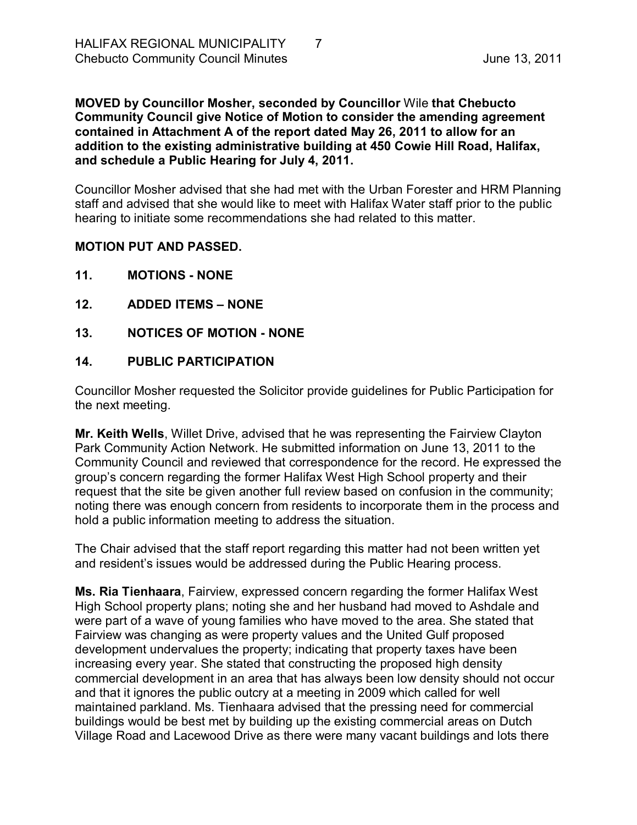**MOVED by Councillor Mosher, seconded by Councillor** Wile **that Chebucto Community Council give Notice of Motion to consider the amending agreement contained in Attachment A of the report dated May 26, 2011 to allow for an addition to the existing administrative building at 450 Cowie Hill Road, Halifax, and schedule a Public Hearing for July 4, 2011.**

Councillor Mosher advised that she had met with the Urban Forester and HRM Planning staff and advised that she would like to meet with Halifax Water staff prior to the public hearing to initiate some recommendations she had related to this matter.

#### **MOTION PUT AND PASSED.**

- <span id="page-6-0"></span>**11. MOTIONS NONE**
- <span id="page-6-1"></span>**12. ADDED ITEMS – NONE**
- <span id="page-6-2"></span>**13. NOTICES OF MOTION NONE**

#### <span id="page-6-3"></span>**14. PUBLIC PARTICIPATION**

Councillor Mosher requested the Solicitor provide guidelines for Public Participation for the next meeting.

**Mr. Keith Wells**, Willet Drive, advised that he was representing the Fairview Clayton Park Community Action Network. He submitted information on June 13, 2011 to the Community Council and reviewed that correspondence for the record. He expressed the group's concern regarding the former Halifax West High School property and their request that the site be given another full review based on confusion in the community; noting there was enough concern from residents to incorporate them in the process and hold a public information meeting to address the situation.

The Chair advised that the staff report regarding this matter had not been written yet and resident's issues would be addressed during the Public Hearing process.

**Ms. Ria Tienhaara**, Fairview, expressed concern regarding the former Halifax West High School property plans; noting she and her husband had moved to Ashdale and were part of a wave of young families who have moved to the area. She stated that Fairview was changing as were property values and the United Gulf proposed development undervalues the property; indicating that property taxes have been increasing every year. She stated that constructing the proposed high density commercial development in an area that has always been low density should not occur and that it ignores the public outcry at a meeting in 2009 which called for well maintained parkland. Ms. Tienhaara advised that the pressing need for commercial buildings would be best met by building up the existing commercial areas on Dutch Village Road and Lacewood Drive as there were many vacant buildings and lots there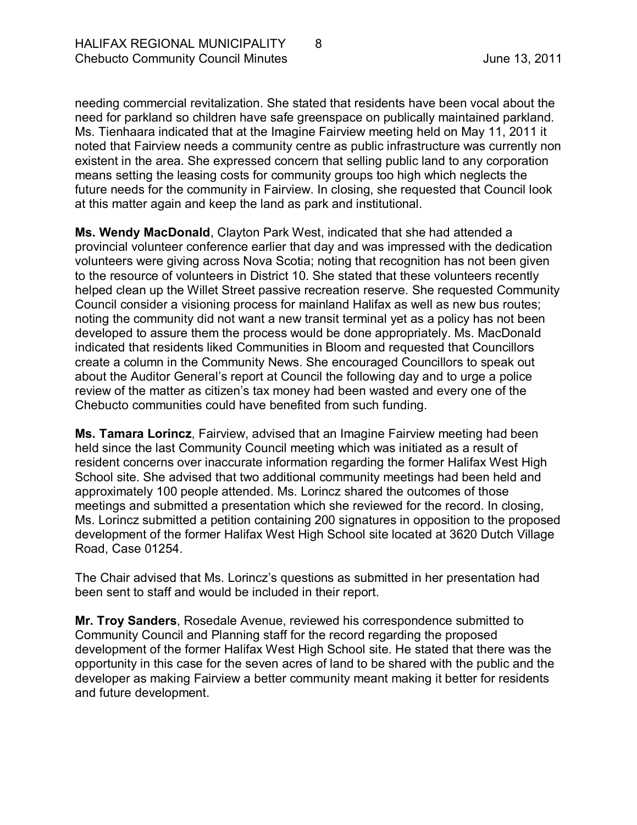needing commercial revitalization. She stated that residents have been vocal about the need for parkland so children have safe greenspace on publically maintained parkland. Ms. Tienhaara indicated that at the Imagine Fairview meeting held on May 11, 2011 it noted that Fairview needs a community centre as public infrastructure was currently non existent in the area. She expressed concern that selling public land to any corporation means setting the leasing costs for community groups too high which neglects the future needs for the community in Fairview. In closing, she requested that Council look at this matter again and keep the land as park and institutional.

**Ms. Wendy MacDonald**, Clayton Park West, indicated that she had attended a provincial volunteer conference earlier that day and was impressed with the dedication volunteers were giving across Nova Scotia; noting that recognition has not been given to the resource of volunteers in District 10. She stated that these volunteers recently helped clean up the Willet Street passive recreation reserve. She requested Community Council consider a visioning process for mainland Halifax as well as new bus routes; noting the community did not want a new transit terminal yet as a policy has not been developed to assure them the process would be done appropriately. Ms. MacDonald indicated that residents liked Communities in Bloom and requested that Councillors create a column in the Community News. She encouraged Councillors to speak out about the Auditor General's report at Council the following day and to urge a police review of the matter as citizen's tax money had been wasted and every one of the Chebucto communities could have benefited from such funding.

**Ms. Tamara Lorincz**, Fairview, advised that an Imagine Fairview meeting had been held since the last Community Council meeting which was initiated as a result of resident concerns over inaccurate information regarding the former Halifax West High School site. She advised that two additional community meetings had been held and approximately 100 people attended. Ms. Lorincz shared the outcomes of those meetings and submitted a presentation which she reviewed for the record. In closing, Ms. Lorincz submitted a petition containing 200 signatures in opposition to the proposed development of the former Halifax West High School site located at 3620 Dutch Village Road, Case 01254.

The Chair advised that Ms. Lorincz's questions as submitted in her presentation had been sent to staff and would be included in their report.

**Mr. Troy Sanders**, Rosedale Avenue, reviewed his correspondence submitted to Community Council and Planning staff for the record regarding the proposed development of the former Halifax West High School site. He stated that there was the opportunity in this case for the seven acres of land to be shared with the public and the developer as making Fairview a better community meant making it better for residents and future development.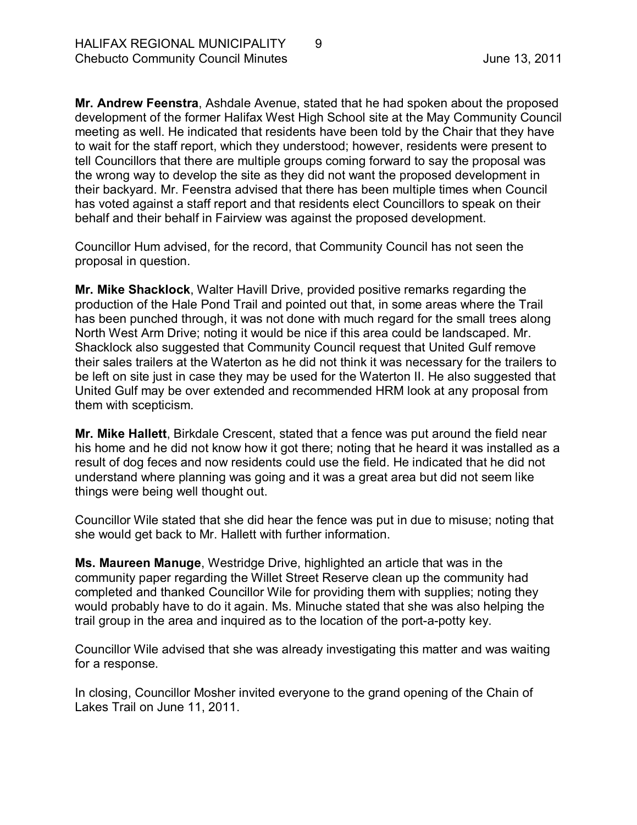**Mr. Andrew Feenstra**, Ashdale Avenue, stated that he had spoken about the proposed development of the former Halifax West High School site at the May Community Council meeting as well. He indicated that residents have been told by the Chair that they have to wait for the staff report, which they understood; however, residents were present to tell Councillors that there are multiple groups coming forward to say the proposal was the wrong way to develop the site as they did not want the proposed development in their backyard. Mr. Feenstra advised that there has been multiple times when Council has voted against a staff report and that residents elect Councillors to speak on their behalf and their behalf in Fairview was against the proposed development.

Councillor Hum advised, for the record, that Community Council has not seen the proposal in question.

**Mr. Mike Shacklock**, Walter Havill Drive, provided positive remarks regarding the production of the Hale Pond Trail and pointed out that, in some areas where the Trail has been punched through, it was not done with much regard for the small trees along North West Arm Drive; noting it would be nice if this area could be landscaped. Mr. Shacklock also suggested that Community Council request that United Gulf remove their sales trailers at the Waterton as he did not think it was necessary for the trailers to be left on site just in case they may be used for the Waterton II. He also suggested that United Gulf may be over extended and recommended HRM look at any proposal from them with scepticism.

**Mr. Mike Hallett**, Birkdale Crescent, stated that a fence was put around the field near his home and he did not know how it got there; noting that he heard it was installed as a result of dog feces and now residents could use the field. He indicated that he did not understand where planning was going and it was a great area but did not seem like things were being well thought out.

Councillor Wile stated that she did hear the fence was put in due to misuse; noting that she would get back to Mr. Hallett with further information.

**Ms. Maureen Manuge**, Westridge Drive, highlighted an article that was in the community paper regarding the Willet Street Reserve clean up the community had completed and thanked Councillor Wile for providing them with supplies; noting they would probably have to do it again. Ms. Minuche stated that she was also helping the trail group in the area and inquired as to the location of the port-a-potty key.

Councillor Wile advised that she was already investigating this matter and was waiting for a response.

In closing, Councillor Mosher invited everyone to the grand opening of the Chain of Lakes Trail on June 11, 2011.